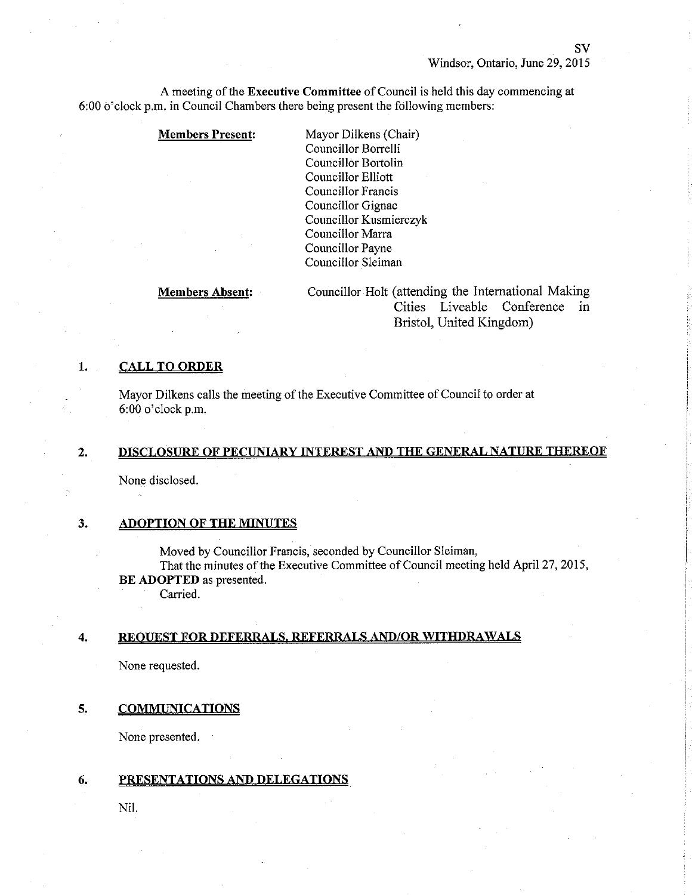SV

A meeting of the Executive Committee of Council is held this day commencing at 6:00 o'clock p.m. in Council Chambers there being present the following members:

#### Members Present: Mayor Dilkens (Chair)

Councillor Borrelli Councillor Bortolin Councillor Elliott Councillor Francis Councillor Gignac Councillor Kusmierczyk Councillor Marra Councillor Payne Councillor Sleiman

Members Àbsent: Councillor Holt (attending the Intemational Making Cities Liveable Conference in Bristol, United Kingdom)

# 1. CALL TO ORDER

Mayor Dilkens calls the meeting of the Executive Committee of Council to order at 6:00 o'clock p.m.

# 2. DISCLOSURE OF PECUNIARY INTEREST AND THE GENERAL NATURE THEREOF

None disclosed.

# 3. ADOPTION OF THE MINUTES

. Moved by Councillor Francis, seconded by Councillor Sleiman,

That the minutes of the Executive Committee of Council meeting held April 27, 2015, BE ADOPTED as presented.

Carried.

# 4. REQUEST FOR DEFERRALS, REFERRALS AND/OR WITHDRAWALS

None requested.

#### 5. COMMUNICATIONS

None presented.

# 6. PRESENTATIONS AND DELEGATIONS

Nil.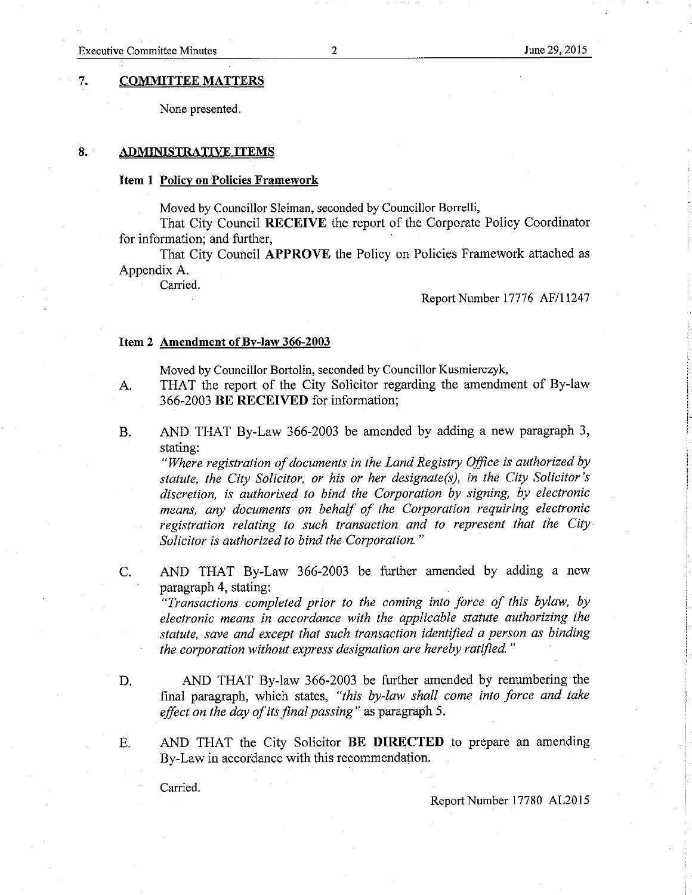#### 7. COMMITTEE MATTERS

None presented.

#### 8. ADMINISTRATIVE ITEMS

#### Item 1 Policy on Policies Framework

Moved by Councillor Sleiman, seconded by Councillor Borrelli,

That City Council RECEIVE the report of the Corporate Policy Coordinator for information; and further,

That City Council APPROVE the Policy on Policies Framework attached as Appendix A.

Carried.

Report Number 17776 AF/11247

#### Item 2 Amendment of By-law 366-2003

Moved by Councillor Bortolin, seconded by Councillor Kusmierczyk,

- A. THAT the report of the City Solicitor regarding the amendment of By-law 366-2003 BE RECEIVED for information;
- B. AND THAT By-Law 366-2003 be amended by adding a new paragraph 3, stating:

"Where registration of documents in the Land Registry Office is authorized by statute, the City Solicitor, or his or her designate(s), in the City Solicitor's discretion, ís authorised to bind the Corporation by signing, by electronic means, any documents on behalf of the Corporation requiring electronic registration relating to such transaction and to represent that the City-Solicitor is authorized to bínd the Corporation. "

C. AND THAT By-Law 366-2003 be further amended by adding a new paragraph 4, stating:

"Transactions completed prior to the coming into force of this bylaw, by electronic means in accordance with the applicable statute authorizing the statute, save and except that such transaction identified a person as binding the corporation without express designation are hereby ratified."

D. AND THAT By-Iaw 366-2003 be further amended by renumbering the final paragraph, which states, "this by-law shall come into force and take effect on the day of its final passing" as paragraph 5.

E. AND THAT the City Solicitor BE DIRECTED to prepare an amending By-Law in accordance with this recommendation.

Carried.

Report Number 17780 4L2015